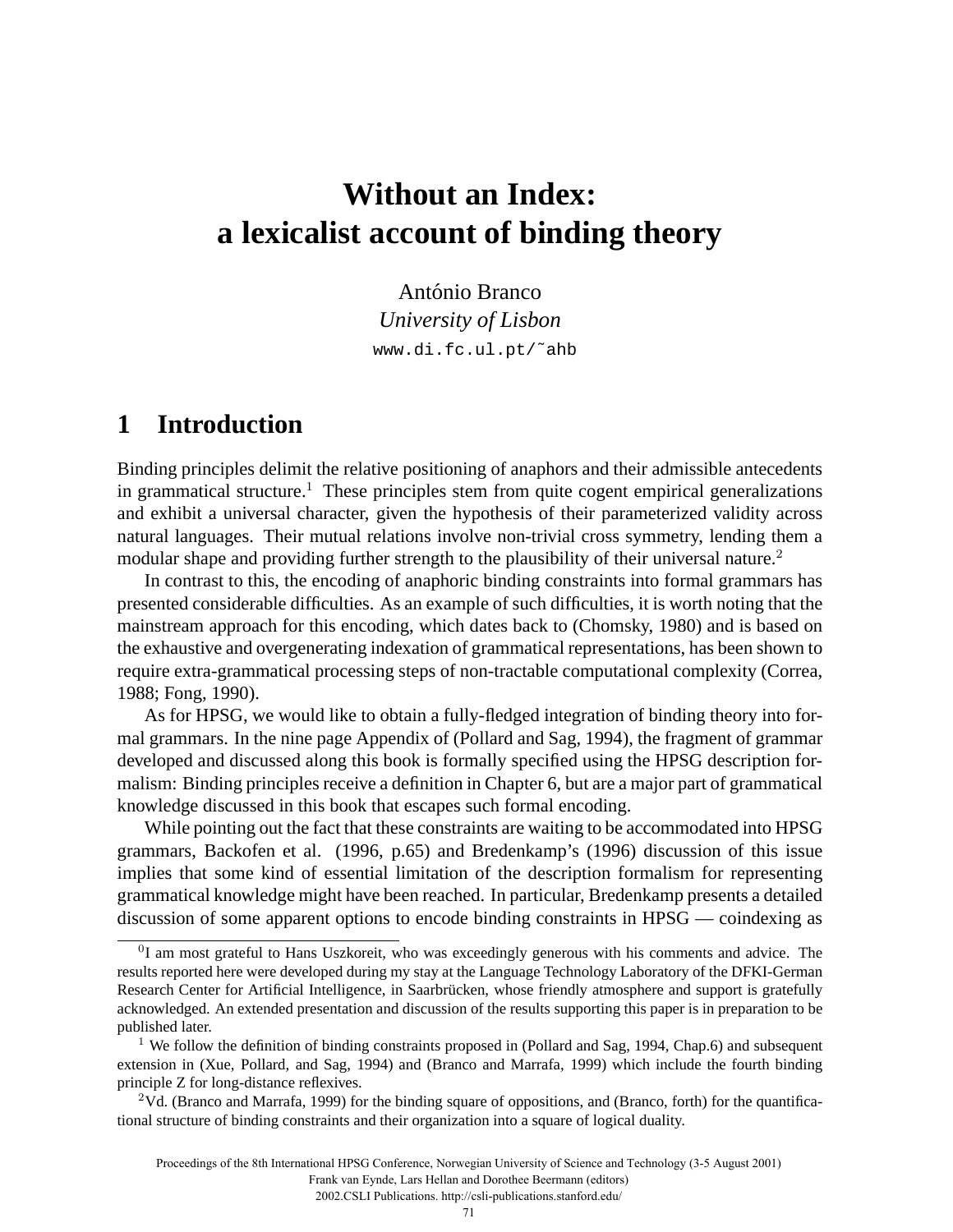# **Without an Index: a lexicalist account of binding theory**

António Branco *University of Lisbon* www.di.fc.ul.pt/˜ahb

# **1 Introduction**

Binding principles delimit the relative positioning of anaphors and their admissible antecedents in grammatical structure.<sup>1</sup> These principles stem from quite cogent empirical generalizations and exhibit a universal character, given the hypothesis of their parameterized validity across natural languages. Their mutual relations involve non-trivial cross symmetry, lending them a modular shape and providing further strength to the plausibility of their universal nature.<sup>2</sup>

In contrast to this, the encoding of anaphoric binding constraints into formal grammars has presented considerable difficulties. As an example of such difficulties, it is worth noting that the mainstream approach for this encoding, which dates back to (Chomsky, 1980) and is based on the exhaustive and overgenerating indexation of grammatical representations, has been shown to require extra-grammatical processing steps of non-tractable computational complexity (Correa, 1988; Fong, 1990).

As for HPSG, we would like to obtain a fully-fledged integration of binding theory into formal grammars. In the nine page Appendix of (Pollard and Sag, 1994), the fragment of grammar developed and discussed along this book is formally specified using the HPSG description formalism: Binding principles receive a definition in Chapter 6, but are a major part of grammatical knowledge discussed in this book that escapes such formal encoding.

While pointing out the fact that these constraints are waiting to be accommodated into HPSG grammars, Backofen et al. (1996, p.65) and Bredenkamp's (1996) discussion of this issue implies that some kind of essential limitation of the description formalism for representing grammatical knowledge might have been reached. In particular, Bredenkamp presents a detailed discussion of some apparent options to encode binding constraints in HPSG — coindexing as

Frank van Eynde, Lars Hellan and Dorothee Beermann (editors)

2002.CSLI Publications. http://csli-publications.stanford.edu/

<sup>0</sup>I am most grateful to Hans Uszkoreit, who was exceedingly generous with his comments and advice. The results reported here were developed during my stay at the Language Technology Laboratory of the DFKI-German Research Center for Artificial Intelligence, in Saarbrücken, whose friendly atmosphere and support is gratefully acknowledged. An extended presentation and discussion of the results supporting this paper is in preparation to be published later.

 $1$  We follow the definition of binding constraints proposed in (Pollard and Sag, 1994, Chap.6) and subsequent extension in (Xue, Pollard, and Sag, 1994) and (Branco and Marrafa, 1999) which include the fourth binding principle Z for long-distance reflexives.

<sup>2</sup>Vd. (Branco and Marrafa, 1999) for the binding square of oppositions, and (Branco, forth) for the quantificational structure of binding constraints and their organization into a square of logical duality.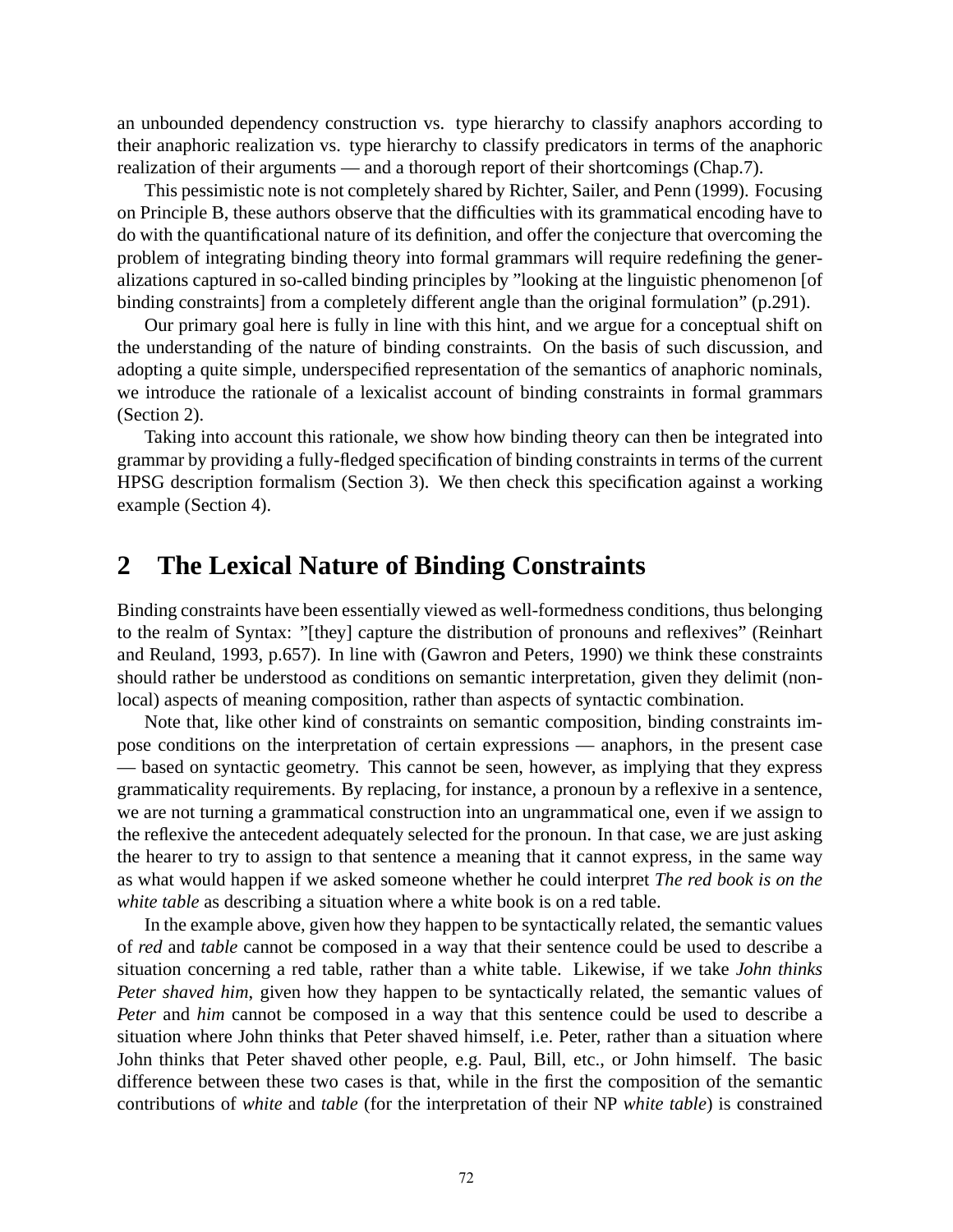an unbounded dependency construction vs. type hierarchy to classify anaphors according to their anaphoric realization vs. type hierarchy to classify predicators in terms of the anaphoric realization of their arguments — and a thorough report of their shortcomings (Chap.7).

This pessimistic note is not completely shared by Richter, Sailer, and Penn (1999). Focusing on Principle B, these authors observe that the difficulties with its grammatical encoding have to do with the quantificational nature of its definition, and offer the conjecture that overcoming the problem of integrating binding theory into formal grammars will require redefining the generalizations captured in so-called binding principles by "looking at the linguistic phenomenon [of binding constraints] from a completely different angle than the original formulation" (p.291).

Our primary goal here is fully in line with this hint, and we argue for a conceptual shift on the understanding of the nature of binding constraints. On the basis of such discussion, and adopting a quite simple, underspecified representation of the semantics of anaphoric nominals, we introduce the rationale of a lexicalist account of binding constraints in formal grammars (Section 2).

Taking into account this rationale, we show how binding theory can then be integrated into grammar by providing a fully-fledged specification of binding constraints in terms of the current HPSG description formalism (Section 3). We then check this specification against a working example (Section 4).

# **2 The Lexical Nature of Binding Constraints**

Binding constraints have been essentially viewed as well-formedness conditions, thus belonging to the realm of Syntax: "[they] capture the distribution of pronouns and reflexives" (Reinhart and Reuland, 1993, p.657). In line with (Gawron and Peters, 1990) we think these constraints should rather be understood as conditions on semantic interpretation, given they delimit (nonlocal) aspects of meaning composition, rather than aspects of syntactic combination.

Note that, like other kind of constraints on semantic composition, binding constraints impose conditions on the interpretation of certain expressions — anaphors, in the present case — based on syntactic geometry. This cannot be seen, however, as implying that they express grammaticality requirements. By replacing, for instance, a pronoun by a reflexive in a sentence, we are not turning a grammatical construction into an ungrammatical one, even if we assign to the reflexive the antecedent adequately selected for the pronoun. In that case, we are just asking the hearer to try to assign to that sentence a meaning that it cannot express, in the same way as what would happen if we asked someone whether he could interpret *The red book is on the white table* as describing a situation where a white book is on a red table.

In the example above, given how they happen to be syntactically related, the semantic values of *red* and *table* cannot be composed in a way that their sentence could be used to describe a situation concerning a red table, rather than a white table. Likewise, if we take *John thinks Peter shaved him*, given how they happen to be syntactically related, the semantic values of *Peter* and *him* cannot be composed in a way that this sentence could be used to describe a situation where John thinks that Peter shaved himself, i.e. Peter, rather than a situation where John thinks that Peter shaved other people, e.g. Paul, Bill, etc., or John himself. The basic difference between these two cases is that, while in the first the composition of the semantic contributions of *white* and *table* (for the interpretation of their NP *white table*) is constrained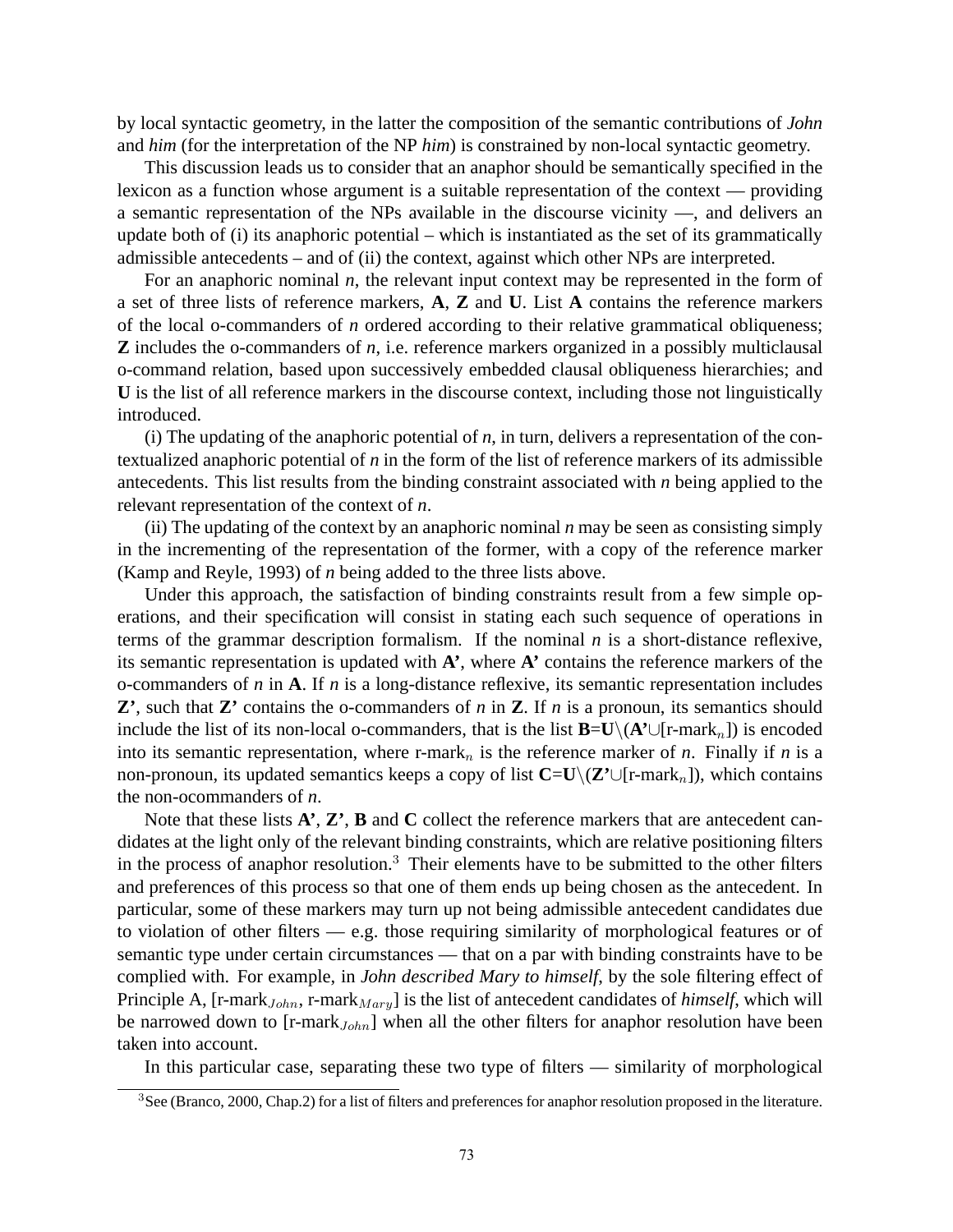by local syntactic geometry, in the latter the composition of the semantic contributions of *John* and *him* (for the interpretation of the NP *him*) is constrained by non-local syntactic geometry.

This discussion leads us to consider that an anaphor should be semantically specified in the lexicon as a function whose argument is a suitable representation of the context — providing a semantic representation of the NPs available in the discourse vicinity —, and delivers an update both of (i) its anaphoric potential – which is instantiated as the set of its grammatically admissible antecedents – and of (ii) the context, against which other NPs are interpreted.

For an anaphoric nominal *n*, the relevant input context may be represented in the form of a set of three lists of reference markers, **A**, **Z** and **U**. List **A** contains the reference markers of the local o-commanders of *n* ordered according to their relative grammatical obliqueness; **Z** includes the o-commanders of *n*, i.e. reference markers organized in a possibly multiclausal o-command relation, based upon successively embedded clausal obliqueness hierarchies; and **U** is the list of all reference markers in the discourse context, including those not linguistically introduced.

(i) The updating of the anaphoric potential of *n*, in turn, delivers a representation of the contextualized anaphoric potential of *n* in the form of the list of reference markers of its admissible antecedents. This list results from the binding constraint associated with *n* being applied to the relevant representation of the context of *n*.

(ii) The updating of the context by an anaphoric nominal *n* may be seen as consisting simply in the incrementing of the representation of the former, with a copy of the reference marker (Kamp and Reyle, 1993) of *n* being added to the three lists above.

Under this approach, the satisfaction of binding constraints result from a few simple operations, and their specification will consist in stating each such sequence of operations in terms of the grammar description formalism. If the nominal *n* is a short-distance reflexive, its semantic representation is updated with **A'**, where **A'** contains the reference markers of the o-commanders of *n* in **A**. If *n* is a long-distance reflexive, its semantic representation includes **Z'**, such that **Z'** contains the o-commanders of *n* in **Z**. If *n* is a pronoun, its semantics should include the list of its non-local o-commanders, that is the list  $\mathbf{B}=\mathbf{U}\setminus(\mathbf{A}^*\cup[\mathbf{r}\text{-mark}_n])$  is encoded into its semantic representation, where r-mark<sub>n</sub> is the reference marker of *n*. Finally if *n* is a non-pronoun, its updated semantics keeps a copy of list **C**=**U**\(**Z**<sup>*'*</sup>∪[r-mark<sub>n</sub>]), which contains the non-ocommanders of *n*.

Note that these lists **A'**, **Z'**, **B** and **C** collect the reference markers that are antecedent candidates at the light only of the relevant binding constraints, which are relative positioning filters in the process of anaphor resolution.<sup>3</sup> Their elements have to be submitted to the other filters and preferences of this process so that one of them ends up being chosen as the antecedent. In particular, some of these markers may turn up not being admissible antecedent candidates due to violation of other filters — e.g. those requiring similarity of morphological features or of semantic type under certain circumstances — that on a par with binding constraints have to be complied with. For example, in *John described Mary to himself*, by the sole filtering effect of Principle A, [r-mark<sub>John</sub>, r-mark<sub>Mary</sub>] is the list of antecedent candidates of *himself*, which will be narrowed down to [ $r$ -mark $_{John}$ ] when all the other filters for anaphor resolution have been taken into account.

In this particular case, separating these two type of filters — similarity of morphological

<sup>&</sup>lt;sup>3</sup>See (Branco, 2000, Chap.2) for a list of filters and preferences for anaphor resolution proposed in the literature.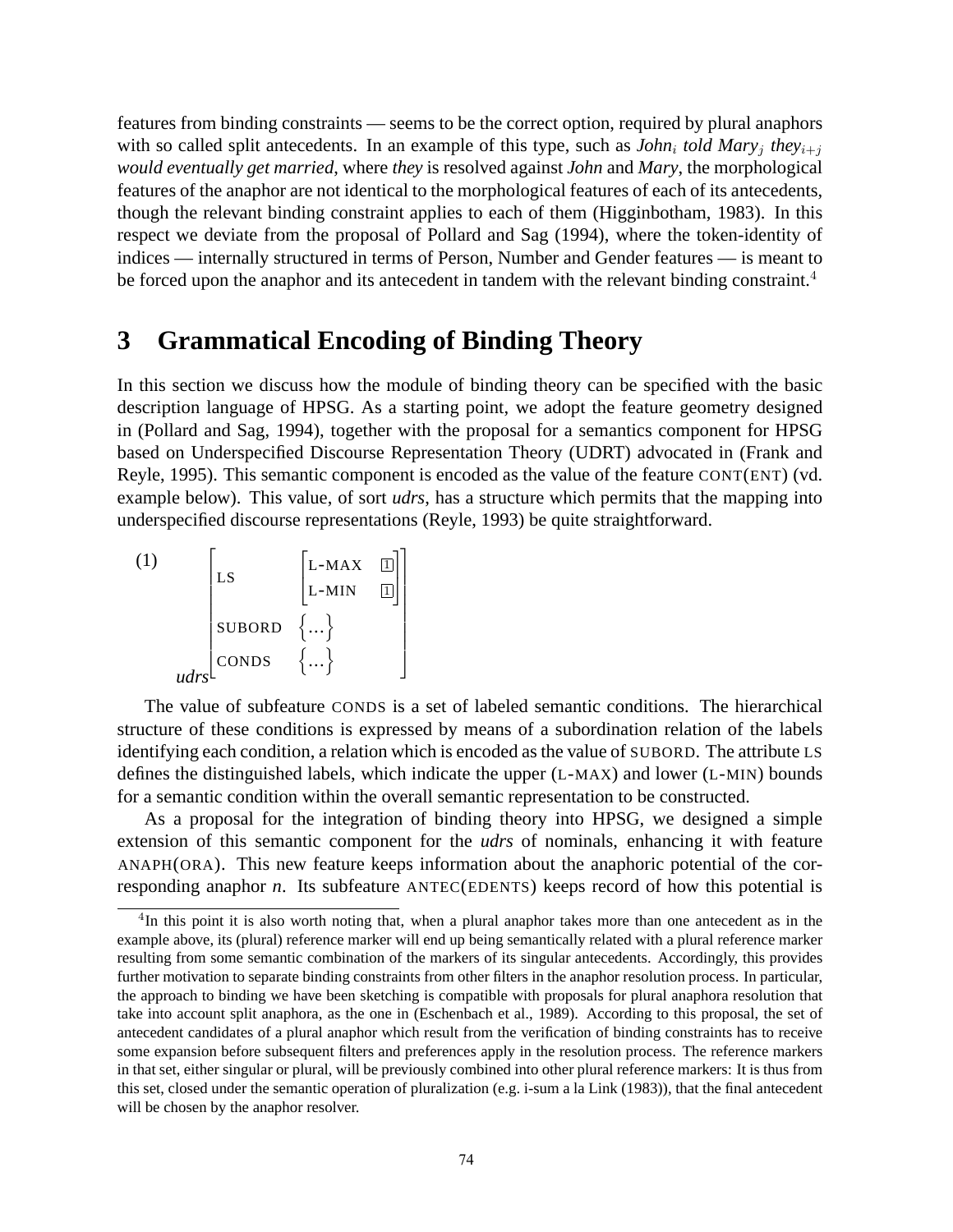features from binding constraints — seems to be the correct option, required by plural anaphors with so called split antecedents. In an example of this type, such as *John<sub>i</sub> told Mary<sub>i</sub> they*<sub>i+j</sub> *would eventually get married*, where *they* is resolved against *John* and *Mary*, the morphological features of the anaphor are not identical to the morphological features of each of its antecedents, though the relevant binding constraint applies to each of them (Higginbotham, 1983). In this respect we deviate from the proposal of Pollard and Sag (1994), where the token-identity of indices — internally structured in terms of Person, Number and Gender features — is meant to be forced upon the anaphor and its antecedent in tandem with the relevant binding constraint.<sup>4</sup>

# **3 Grammatical Encoding of Binding Theory**

In this section we discuss how the module of binding theory can be specified with the basic description language of HPSG. As a starting point, we adopt the feature geometry designed in (Pollard and Sag, 1994), together with the proposal for a semantics component for HPSG based on Underspecified Discourse Representation Theory (UDRT) advocated in (Frank and Reyle, 1995). This semantic component is encoded as the value of the feature CONT(ENT) (vd. example below). This value, of sort *udrs*, has a structure which permits that the mapping into underspecified discourse representations (Reyle, 1993) be quite straightforward.

$$
\begin{bmatrix}\n(1) & \begin{bmatrix}\nLS & \begin{bmatrix}\nL-MAX & \boxed{1} \\
L-MIN & \boxed{1} \\
\end{bmatrix} \\
\end{bmatrix} \\
udrs\n\end{bmatrix}
$$

The value of subfeature CONDS is a set of labeled semantic conditions. The hierarchical structure of these conditions is expressed by means of a subordination relation of the labels identifying each condition, a relation which is encoded as the value of SUBORD. The attribute LS defines the distinguished labels, which indicate the upper (L-MAX) and lower (L-MIN) bounds for a semantic condition within the overall semantic representation to be constructed.

As a proposal for the integration of binding theory into HPSG, we designed a simple extension of this semantic component for the *udrs* of nominals, enhancing it with feature ANAPH(ORA). This new feature keeps information about the anaphoric potential of the corresponding anaphor *n*. Its subfeature ANTEC(EDENTS) keeps record of how this potential is

<sup>4</sup>In this point it is also worth noting that, when a plural anaphor takes more than one antecedent as in the example above, its (plural) reference marker will end up being semantically related with a plural reference marker resulting from some semantic combination of the markers of its singular antecedents. Accordingly, this provides further motivation to separate binding constraints from other filters in the anaphor resolution process. In particular, the approach to binding we have been sketching is compatible with proposals for plural anaphora resolution that take into account split anaphora, as the one in (Eschenbach et al., 1989). According to this proposal, the set of antecedent candidates of a plural anaphor which result from the verification of binding constraints has to receive some expansion before subsequent filters and preferences apply in the resolution process. The reference markers in that set, either singular or plural, will be previously combined into other plural reference markers: It is thus from this set, closed under the semantic operation of pluralization (e.g. i-sum a la Link (1983)), that the final antecedent will be chosen by the anaphor resolver.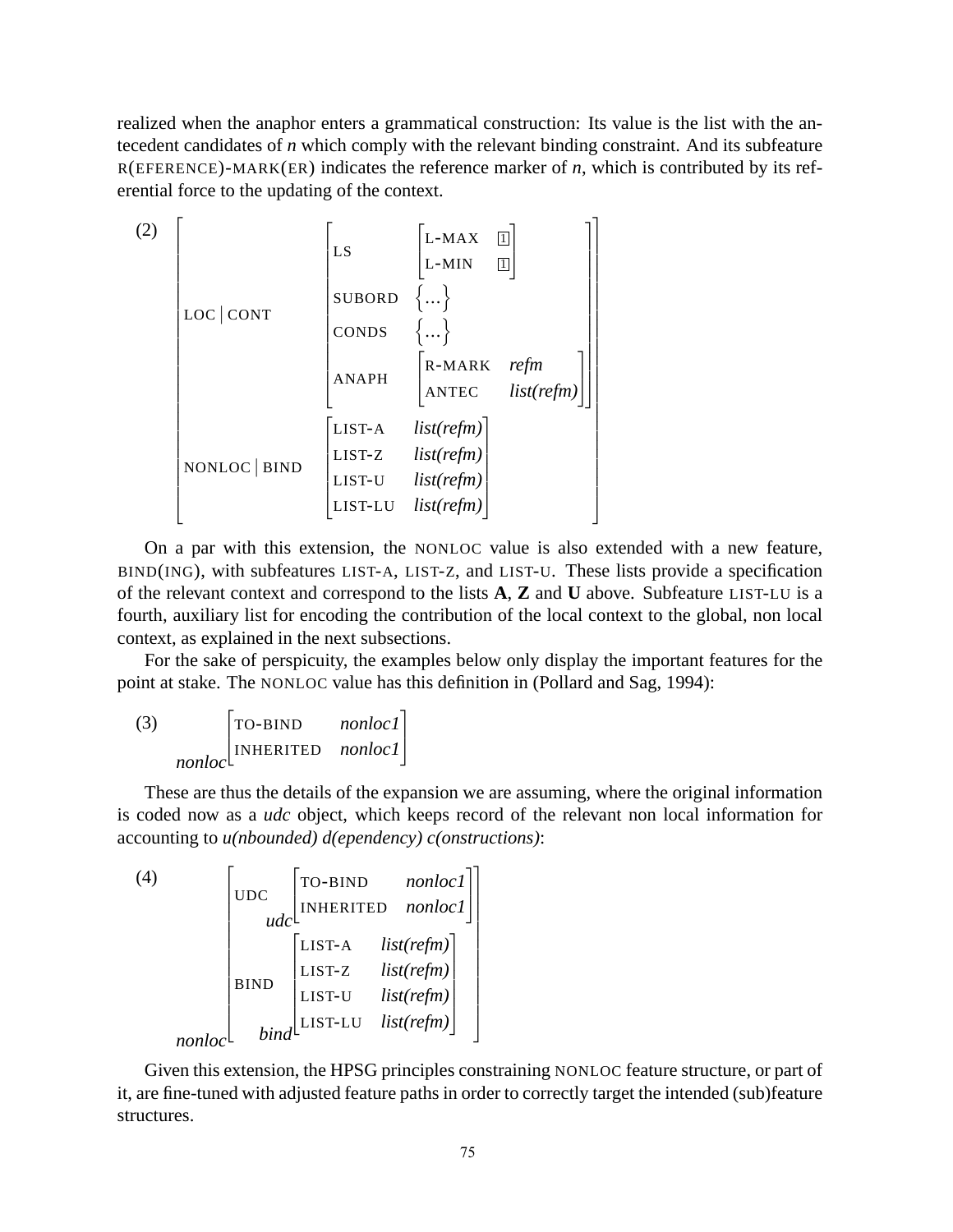realized when the anaphor enters a grammatical construction: Its value is the list with the antecedent candidates of *n* which comply with the relevant binding constraint. And its subfeature R(EFERENCE)-MARK(ER) indicates the reference marker of *n*, which is contributed by its referential force to the updating of the context.

$$
(2)
$$
\n
$$
\begin{bmatrix}\n\text{LS} & \begin{bmatrix}\nL-\text{MAX} & \boxed{1} \\
L-\text{MIN} & \boxed{1}\n\end{bmatrix} & \begin{bmatrix}\n\text{SUBORD} & \begin{bmatrix}\n... \\
... \\
\text{SUBORD} & \begin{bmatrix}\n... \\
... \\
\text{ONDS} & \begin{bmatrix}\n... \\
...\n\end{bmatrix} \\
\text{ANAPH} & \begin{bmatrix}\nR-\text{MARK} & \text{refm} \\
\text{ANTEC} & \text{list}(\text{refm})\n\end{bmatrix}\n\end{bmatrix}\n\end{bmatrix}
$$
\n
$$
\\ \text{NONLOC} | \text{BIND} & \begin{bmatrix}\n\text{LIST-A} & \text{list}(\text{refm}) \\
\text{LIST-U} & \text{list}(\text{refm}) \\
\text{LIST-U} & \text{list}(\text{refm})\n\end{bmatrix}\n\end{bmatrix}
$$

On a par with this extension, the NONLOC value is also extended with a new feature, BIND(ING), with subfeatures LIST-A, LIST-Z, and LIST-U. These lists provide a specification of the relevant context and correspond to the lists **A**, **Z** and **U** above. Subfeature LIST-LU is a fourth, auxiliary list for encoding the contribution of the local context to the global, non local context, as explained in the next subsections.

For the sake of perspicuity, the examples below only display the important features for the point at stake. The NONLOC value has this definition in (Pollard and Sag, 1994):

(3) *nonloc*  $\sqrt{ }$  $\perp$ TO-BIND *nonloc1* INHERITED *nonloc1* 1  $\overline{1}$ 

These are thus the details of the expansion we are assuming, where the original information is coded now as a *udc* object, which keeps record of the relevant non local information for accounting to *u(nbounded) d(ependency) c(onstructions)*:

(4)

\n
$$
\begin{bmatrix}\n\text{UDC} & \begin{bmatrix}\n\text{TO-BIND} & \text{nonlocal} \\
\text{INHERITED} & \text{nonlocal}\n\end{bmatrix} \\
\begin{bmatrix}\n\text{LIST-A} & \text{list}(\text{refm}) \\
\text{LIST-Z} & \text{list}(\text{refm}) \\
\text{LIST-U} & \text{list}(\text{refm}) \\
\text{LIST-LU} & \text{list}(\text{refm})\n\end{bmatrix}\n\end{bmatrix}
$$

Given this extension, the HPSG principles constraining NONLOC feature structure, or part of it, are fine-tuned with adjusted feature paths in order to correctly target the intended (sub)feature structures.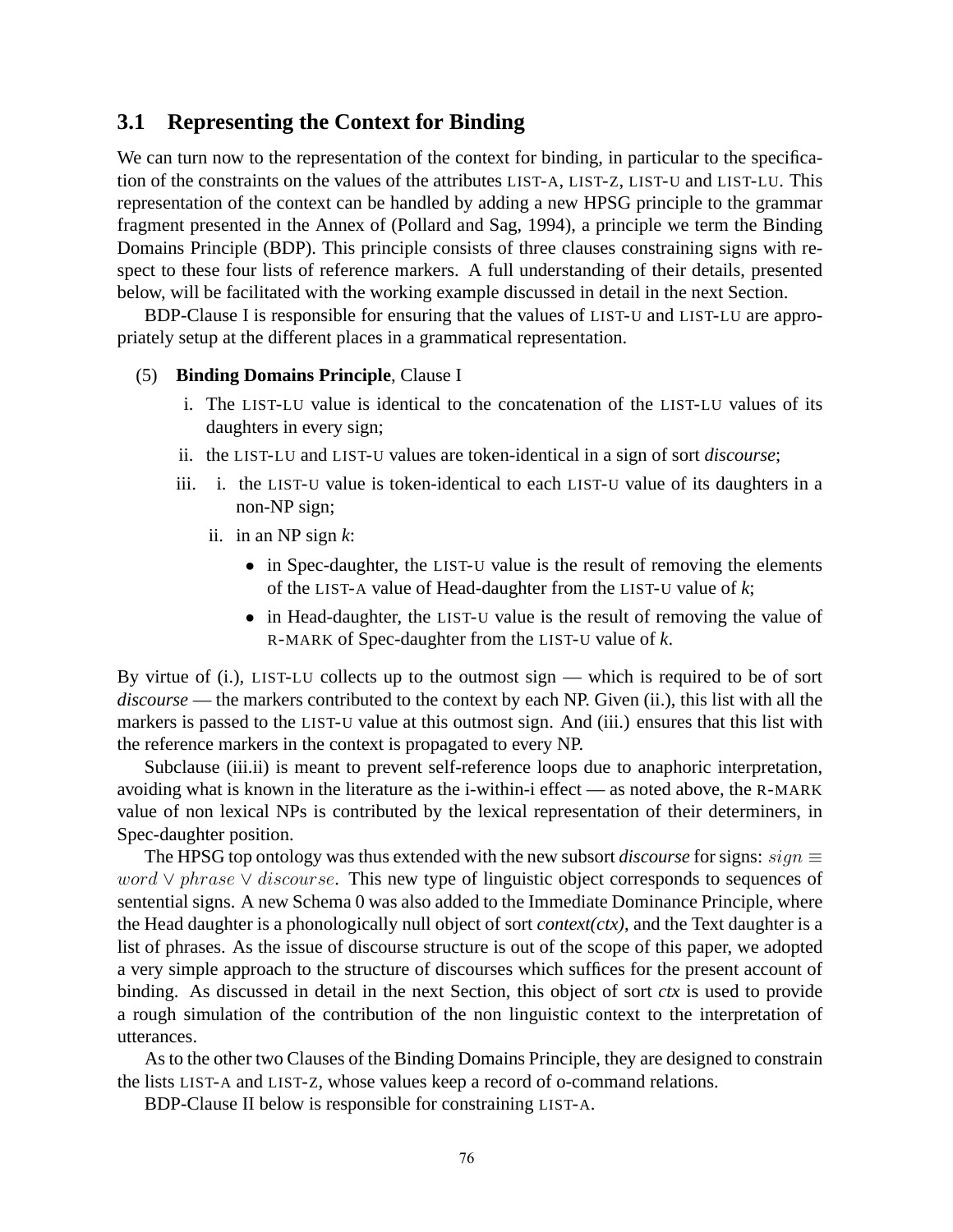### **3.1 Representing the Context for Binding**

We can turn now to the representation of the context for binding, in particular to the specification of the constraints on the values of the attributes LIST-A, LIST-Z, LIST-U and LIST-LU. This representation of the context can be handled by adding a new HPSG principle to the grammar fragment presented in the Annex of (Pollard and Sag, 1994), a principle we term the Binding Domains Principle (BDP). This principle consists of three clauses constraining signs with respect to these four lists of reference markers. A full understanding of their details, presented below, will be facilitated with the working example discussed in detail in the next Section.

BDP-Clause I is responsible for ensuring that the values of LIST-U and LIST-LU are appropriately setup at the different places in a grammatical representation.

#### (5) **Binding Domains Principle**, Clause I

- i. The LIST-LU value is identical to the concatenation of the LIST-LU values of its daughters in every sign;
- ii. the LIST-LU and LIST-U values are token-identical in a sign of sort *discourse*;
- iii. i. the LIST-U value is token-identical to each LIST-U value of its daughters in a non-NP sign;
	- ii. in an NP sign *k*:
		- in Spec-daughter, the LIST-U value is the result of removing the elements of the LIST-A value of Head-daughter from the LIST-U value of *k*;
		- in Head-daughter, the LIST-U value is the result of removing the value of R-MARK of Spec-daughter from the LIST-U value of *k*.

By virtue of (i.), LIST-LU collects up to the outmost sign — which is required to be of sort *discourse* — the markers contributed to the context by each NP. Given (ii.), this list with all the markers is passed to the LIST-U value at this outmost sign. And (iii.) ensures that this list with the reference markers in the context is propagated to every NP.

Subclause (iii.ii) is meant to prevent self-reference loops due to anaphoric interpretation, avoiding what is known in the literature as the i-within-i effect — as noted above, the R-MARK value of non lexical NPs is contributed by the lexical representation of their determiners, in Spec-daughter position.

The HPSG top ontology was thus extended with the new subsort *discourse* for signs:  $sign \equiv$ word  $\vee$  phrase  $\vee$  discourse. This new type of linguistic object corresponds to sequences of sentential signs. A new Schema 0 was also added to the Immediate Dominance Principle, where the Head daughter is a phonologically null object of sort *context(ctx)*, and the Text daughter is a list of phrases. As the issue of discourse structure is out of the scope of this paper, we adopted a very simple approach to the structure of discourses which suffices for the present account of binding. As discussed in detail in the next Section, this object of sort *ctx* is used to provide a rough simulation of the contribution of the non linguistic context to the interpretation of utterances.

As to the other two Clauses of the Binding Domains Principle, they are designed to constrain the lists LIST-A and LIST-Z, whose values keep a record of o-command relations.

BDP-Clause II below is responsible for constraining LIST-A.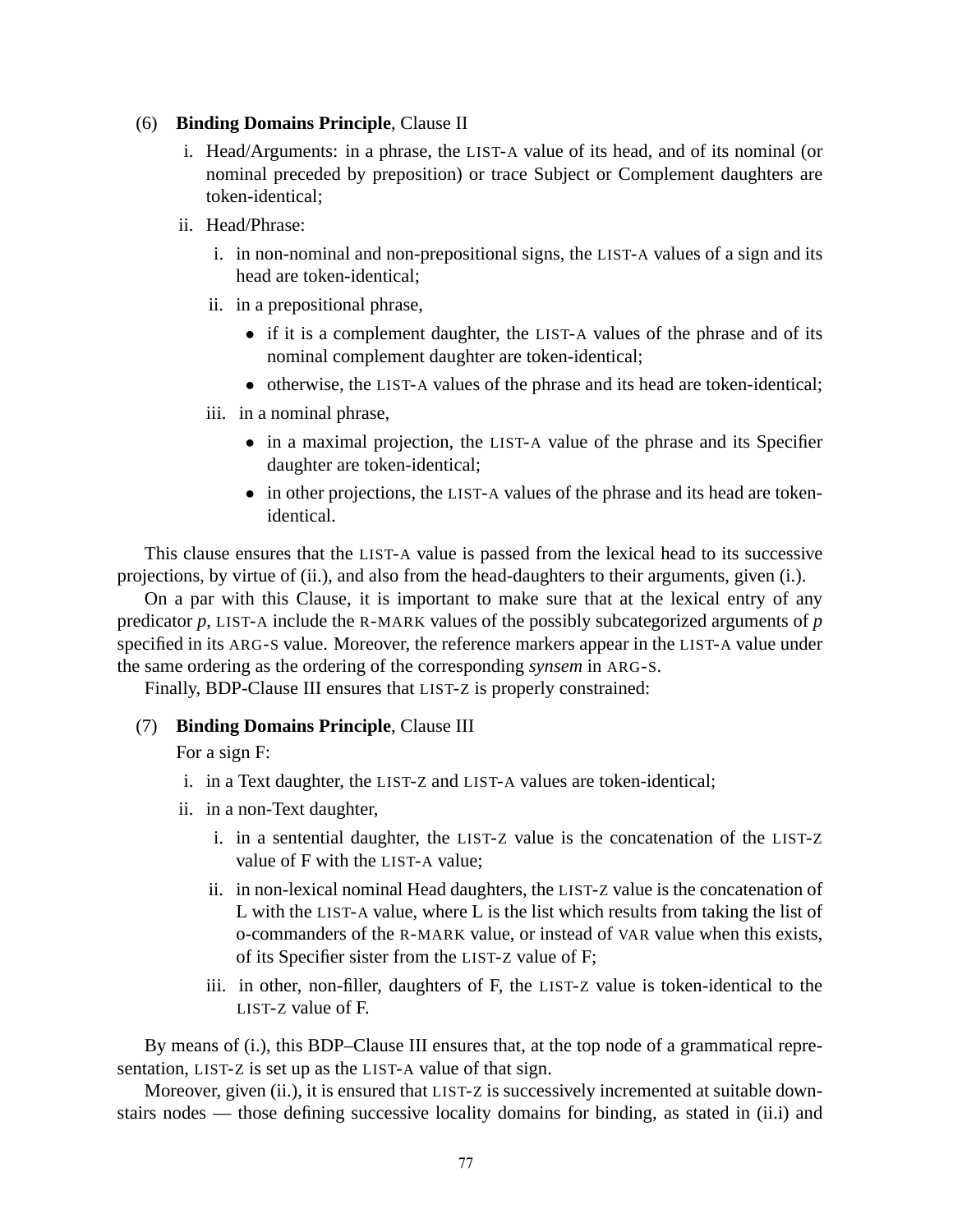#### (6) **Binding Domains Principle**, Clause II

- i. Head/Arguments: in a phrase, the LIST-A value of its head, and of its nominal (or nominal preceded by preposition) or trace Subject or Complement daughters are token-identical;
- ii. Head/Phrase:
	- i. in non-nominal and non-prepositional signs, the LIST-A values of a sign and its head are token-identical;
	- ii. in a prepositional phrase,
		- if it is a complement daughter, the LIST-A values of the phrase and of its nominal complement daughter are token-identical;
		- otherwise, the LIST-A values of the phrase and its head are token-identical;
	- iii. in a nominal phrase,
		- in a maximal projection, the LIST-A value of the phrase and its Specifier daughter are token-identical;
		- in other projections, the LIST-A values of the phrase and its head are tokenidentical.

This clause ensures that the LIST-A value is passed from the lexical head to its successive projections, by virtue of (ii.), and also from the head-daughters to their arguments, given (i.).

On a par with this Clause, it is important to make sure that at the lexical entry of any predicator *p*, LIST-A include the R-MARK values of the possibly subcategorized arguments of *p* specified in its ARG-S value. Moreover, the reference markers appear in the LIST-A value under the same ordering as the ordering of the corresponding *synsem* in ARG-S.

Finally, BDP-Clause III ensures that LIST-Z is properly constrained:

#### (7) **Binding Domains Principle**, Clause III

For a sign F:

- i. in a Text daughter, the LIST-Z and LIST-A values are token-identical;
- ii. in a non-Text daughter,
	- i. in a sentential daughter, the LIST-Z value is the concatenation of the LIST-Z value of F with the LIST-A value;
	- ii. in non-lexical nominal Head daughters, the LIST-Z value is the concatenation of L with the LIST-A value, where L is the list which results from taking the list of o-commanders of the R-MARK value, or instead of VAR value when this exists, of its Specifier sister from the LIST-Z value of F;
	- iii. in other, non-filler, daughters of F, the LIST-Z value is token-identical to the LIST-Z value of F.

By means of (i.), this BDP–Clause III ensures that, at the top node of a grammatical representation, LIST-Z is set up as the LIST-A value of that sign.

Moreover, given (ii.), it is ensured that LIST-Z is successively incremented at suitable downstairs nodes — those defining successive locality domains for binding, as stated in (ii.i) and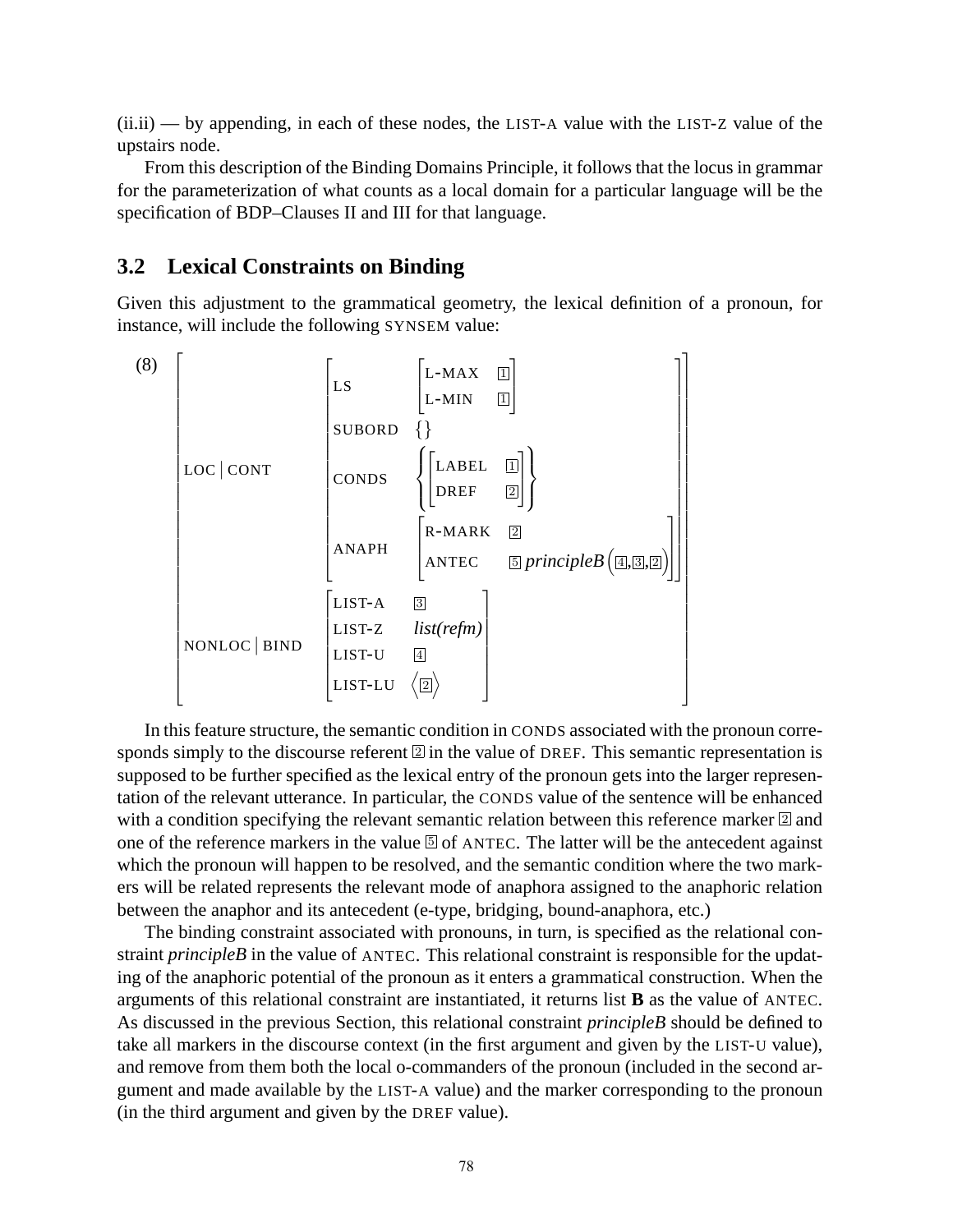(ii.ii) — by appending, in each of these nodes, the LIST-A value with the LIST-Z value of the upstairs node.

From this description of the Binding Domains Principle, it follows that the locus in grammar for the parameterization of what counts as a local domain for a particular language will be the specification of BDP–Clauses II and III for that language.

#### **3.2 Lexical Constraints on Binding**

Given this adjustment to the grammatical geometry, the lexical definition of a pronoun, for instance, will include the following SYNSEM value:

$$
(8)
$$
\n
$$
\begin{bmatrix}\n\text{LS} & \begin{bmatrix}\nL\text{-MAX} & \boxed{1} \\
L\text{-MIN} & \boxed{1} \\
\end{bmatrix} \\
\text{LOC}|\text{CONT} & \text{CONDS} & \left\{\begin{bmatrix}\nL\text{ABEL} & \boxed{1} \\
DREF & \boxed{2}\n\end{bmatrix}\right\} \\
\text{ANAPH} & \begin{bmatrix}\nR\text{-MARK} & \boxed{2} \\
\end{bmatrix} \\
\text{NNLOC}|\text{BIND} & \begin{bmatrix}\nLIST-A & \boxed{3} \\
LIST-U & \boxed{4} \\
\end{bmatrix} \\
\text{IST-U} & \boxed{4} \\
\end{bmatrix}
$$

In this feature structure, the semantic condition in CONDS associated with the pronoun corresponds simply to the discourse referent  $\boxed{2}$  in the value of DREF. This semantic representation is supposed to be further specified as the lexical entry of the pronoun gets into the larger representation of the relevant utterance. In particular, the CONDS value of the sentence will be enhanced with a condition specifying the relevant semantic relation between this reference marker  $\mathbb{Z}$  and one of the reference markers in the value  $\overline{5}$  of ANTEC. The latter will be the antecedent against which the pronoun will happen to be resolved, and the semantic condition where the two markers will be related represents the relevant mode of anaphora assigned to the anaphoric relation between the anaphor and its antecedent (e-type, bridging, bound-anaphora, etc.)

The binding constraint associated with pronouns, in turn, is specified as the relational constraint *principleB* in the value of ANTEC. This relational constraint is responsible for the updating of the anaphoric potential of the pronoun as it enters a grammatical construction. When the arguments of this relational constraint are instantiated, it returns list **B** as the value of ANTEC. As discussed in the previous Section, this relational constraint *principleB* should be defined to take all markers in the discourse context (in the first argument and given by the LIST-U value), and remove from them both the local o-commanders of the pronoun (included in the second argument and made available by the LIST-A value) and the marker corresponding to the pronoun (in the third argument and given by the DREF value).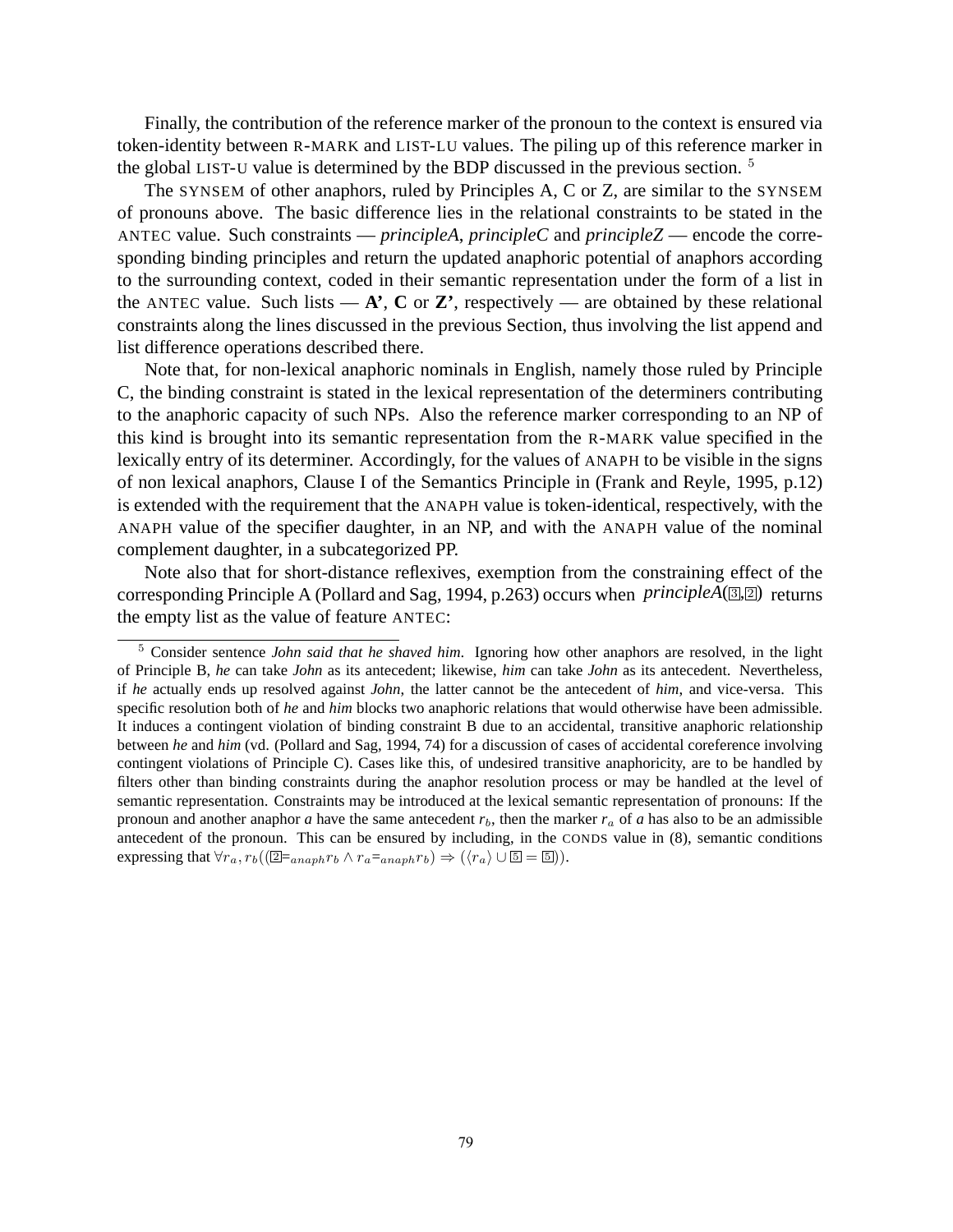Finally, the contribution of the reference marker of the pronoun to the context is ensured via token-identity between R-MARK and LIST-LU values. The piling up of this reference marker in the global LIST-U value is determined by the BDP discussed in the previous section. <sup>5</sup>

The SYNSEM of other anaphors, ruled by Principles A, C or Z, are similar to the SYNSEM of pronouns above. The basic difference lies in the relational constraints to be stated in the ANTEC value. Such constraints — *principleA*, *principleC* and *principleZ* — encode the corresponding binding principles and return the updated anaphoric potential of anaphors according to the surrounding context, coded in their semantic representation under the form of a list in the ANTEC value. Such lists  $-\mathbf{A}$ <sup>'</sup>, **C** or **Z**<sup>'</sup>, respectively — are obtained by these relational constraints along the lines discussed in the previous Section, thus involving the list append and list difference operations described there.

Note that, for non-lexical anaphoric nominals in English, namely those ruled by Principle C, the binding constraint is stated in the lexical representation of the determiners contributing to the anaphoric capacity of such NPs. Also the reference marker corresponding to an NP of this kind is brought into its semantic representation from the R-MARK value specified in the lexically entry of its determiner. Accordingly, for the values of ANAPH to be visible in the signs of non lexical anaphors, Clause I of the Semantics Principle in (Frank and Reyle, 1995, p.12) is extended with the requirement that the ANAPH value is token-identical, respectively, with the ANAPH value of the specifier daughter, in an NP, and with the ANAPH value of the nominal complement daughter, in a subcategorized PP.

Note also that for short-distance reflexives, exemption from the constraining effect of the corresponding Principle A (Pollard and Sag, 1994, p.263) occurs when *principleA*(<sup>3</sup>, <sup>2</sup>) returns the empty list as the value of feature ANTEC:

<sup>5</sup> Consider sentence *John said that he shaved him*. Ignoring how other anaphors are resolved, in the light of Principle B, *he* can take *John* as its antecedent; likewise, *him* can take *John* as its antecedent. Nevertheless, if *he* actually ends up resolved against *John*, the latter cannot be the antecedent of *him*, and vice-versa. This specific resolution both of *he* and *him* blocks two anaphoric relations that would otherwise have been admissible. It induces a contingent violation of binding constraint B due to an accidental, transitive anaphoric relationship between *he* and *him* (vd. (Pollard and Sag, 1994, 74) for a discussion of cases of accidental coreference involving contingent violations of Principle C). Cases like this, of undesired transitive anaphoricity, are to be handled by filters other than binding constraints during the anaphor resolution process or may be handled at the level of semantic representation. Constraints may be introduced at the lexical semantic representation of pronouns: If the pronoun and another anaphor *a* have the same antecedent  $r_b$ , then the marker  $r_a$  of *a* has also to be an admissible antecedent of the pronoun. This can be ensured by including, in the CONDS value in (8), semantic conditions expressing that  $\forall r_a, r_b((\boxed{2} \equiv_{anaph} r_b \land r_a =_{anaph} r_b) \Rightarrow (\langle r_a \rangle \cup \boxed{5} = \boxed{5})$ .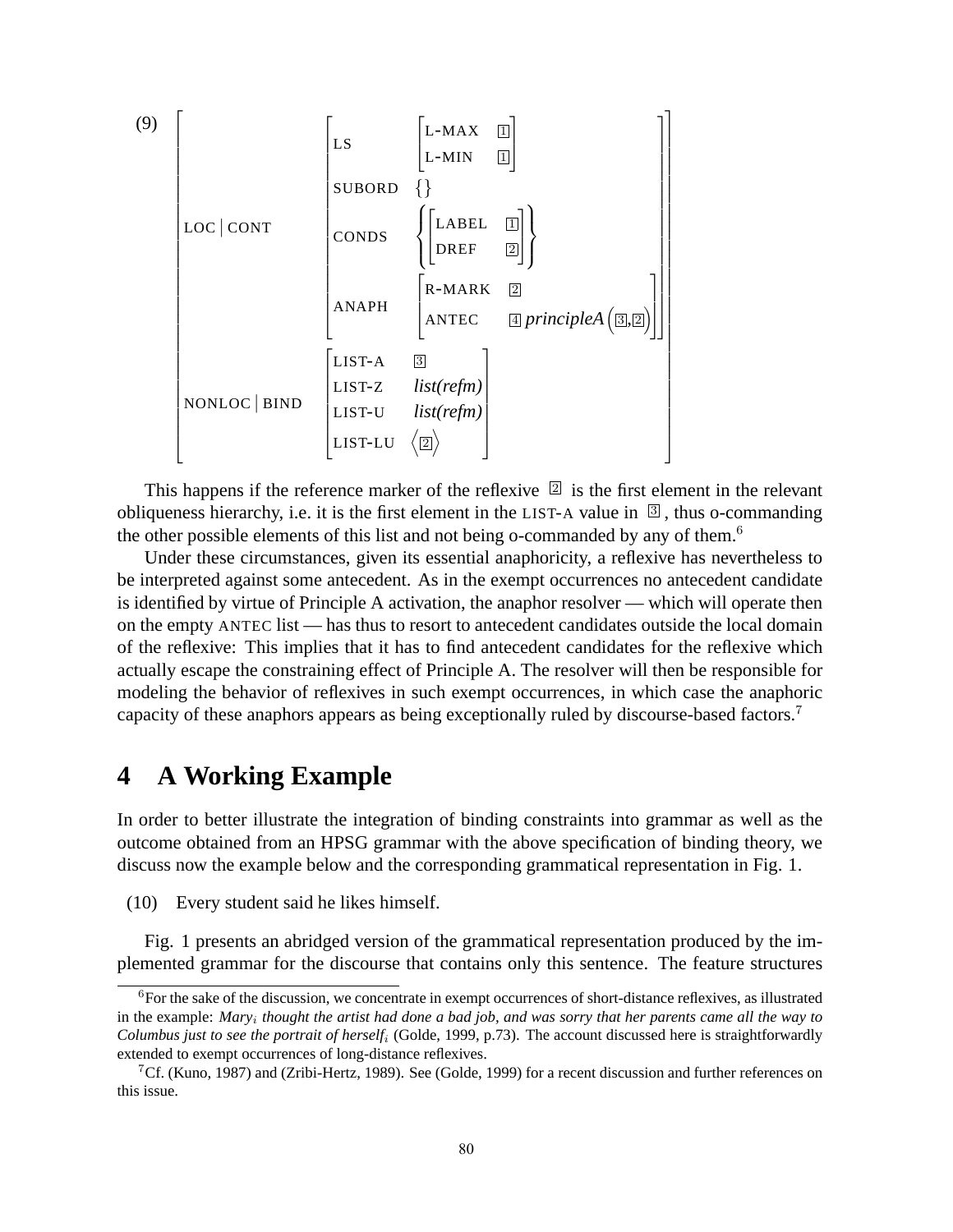

This happens if the reference marker of the reflexive  $[2]$  is the first element in the relevant obliqueness hierarchy, i.e. it is the first element in the LIST-A value in  $\mathbb{S}$ , thus o-commanding the other possible elements of this list and not being o-commanded by any of them.<sup>6</sup>

Under these circumstances, given its essential anaphoricity, a reflexive has nevertheless to be interpreted against some antecedent. As in the exempt occurrences no antecedent candidate is identified by virtue of Principle A activation, the anaphor resolver — which will operate then on the empty ANTEC list — has thus to resort to antecedent candidates outside the local domain of the reflexive: This implies that it has to find antecedent candidates for the reflexive which actually escape the constraining effect of Principle A. The resolver will then be responsible for modeling the behavior of reflexives in such exempt occurrences, in which case the anaphoric capacity of these anaphors appears as being exceptionally ruled by discourse-based factors.<sup>7</sup>

# **4 A Working Example**

In order to better illustrate the integration of binding constraints into grammar as well as the outcome obtained from an HPSG grammar with the above specification of binding theory, we discuss now the example below and the corresponding grammatical representation in Fig. 1.

(10) Every student said he likes himself.

Fig. 1 presents an abridged version of the grammatical representation produced by the implemented grammar for the discourse that contains only this sentence. The feature structures

 ${}^{6}$ For the sake of the discussion, we concentrate in exempt occurrences of short-distance reflexives, as illustrated in the example: *Mary<sup>i</sup> thought the artist had done a bad job, and was sorry that her parents came all the way to Columbus just to see the portrait of herself<sup>i</sup>* (Golde, 1999, p.73). The account discussed here is straightforwardly extended to exempt occurrences of long-distance reflexives.

<sup>7</sup>Cf. (Kuno, 1987) and (Zribi-Hertz, 1989). See (Golde, 1999) for a recent discussion and further references on this issue.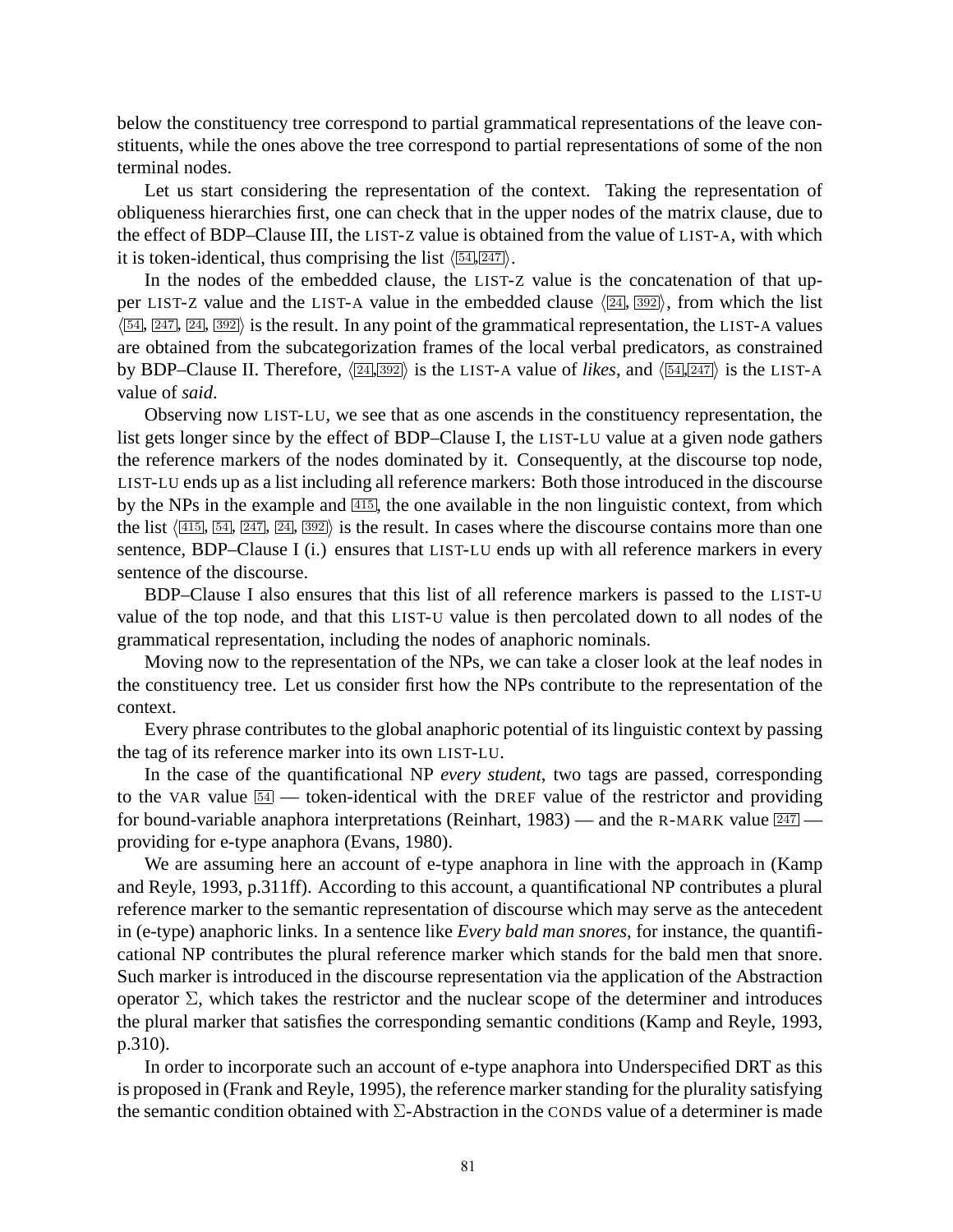below the constituency tree correspond to partial grammatical representations of the leave constituents, while the ones above the tree correspond to partial representations of some of the non terminal nodes.

Let us start considering the representation of the context. Taking the representation of obliqueness hierarchies first, one can check that in the upper nodes of the matrix clause, due to the effect of BDP–Clause III, the LIST-Z value is obtained from the value of LIST-A, with which it is token-identical, thus comprising the list  $\langle 54, 247 \rangle$ .

In the nodes of the embedded clause, the LIST-Z value is the concatenation of that upper LIST-Z value and the LIST-A value in the embedded clause  $\langle 24, 392 \rangle$ , from which the list  $\langle 54, 247, 24, 392 \rangle$  is the result. In any point of the grammatical representation, the LIST-A values are obtained from the subcategorization frames of the local verbal predicators, as constrained by BDP–Clause II. Therefore,  $\langle 24, 392 \rangle$  is the LIST-A value of *likes*, and  $\langle 54, 247 \rangle$  is the LIST-A value of *said*.

Observing now LIST-LU, we see that as one ascends in the constituency representation, the list gets longer since by the effect of BDP–Clause I, the LIST-LU value at a given node gathers the reference markers of the nodes dominated by it. Consequently, at the discourse top node, LIST-LU ends up as a list including all reference markers: Both those introduced in the discourse by the NPs in the example and  $\overline{415}$ , the one available in the non linguistic context, from which the list  $\langle 415, 54, 247, 24, 392 \rangle$  is the result. In cases where the discourse contains more than one sentence, BDP–Clause I (i.) ensures that LIST-LU ends up with all reference markers in every sentence of the discourse.

BDP–Clause I also ensures that this list of all reference markers is passed to the LIST-U value of the top node, and that this LIST-U value is then percolated down to all nodes of the grammatical representation, including the nodes of anaphoric nominals.

Moving now to the representation of the NPs, we can take a closer look at the leaf nodes in the constituency tree. Let us consider first how the NPs contribute to the representation of the context.

Every phrase contributes to the global anaphoric potential of its linguistic context by passing the tag of its reference marker into its own LIST-LU.

In the case of the quantificational NP *every student*, two tags are passed, corresponding to the VAR value  $\overline{54}$  — token-identical with the DREF value of the restrictor and providing for bound-variable anaphora interpretations (Reinhart, 1983) — and the R-MARK value  $\frac{247}{ }$  providing for e-type anaphora (Evans, 1980).

We are assuming here an account of e-type anaphora in line with the approach in (Kamp and Reyle, 1993, p.311ff). According to this account, a quantificational NP contributes a plural reference marker to the semantic representation of discourse which may serve as the antecedent in (e-type) anaphoric links. In a sentence like *Every bald man snores*, for instance, the quantificational NP contributes the plural reference marker which stands for the bald men that snore. Such marker is introduced in the discourse representation via the application of the Abstraction operator  $\Sigma$ , which takes the restrictor and the nuclear scope of the determiner and introduces the plural marker that satisfies the corresponding semantic conditions (Kamp and Reyle, 1993, p.310).

In order to incorporate such an account of e-type anaphora into Underspecified DRT as this is proposed in (Frank and Reyle, 1995), the reference marker standing for the plurality satisfying the semantic condition obtained with  $\Sigma$ -Abstraction in the CONDS value of a determiner is made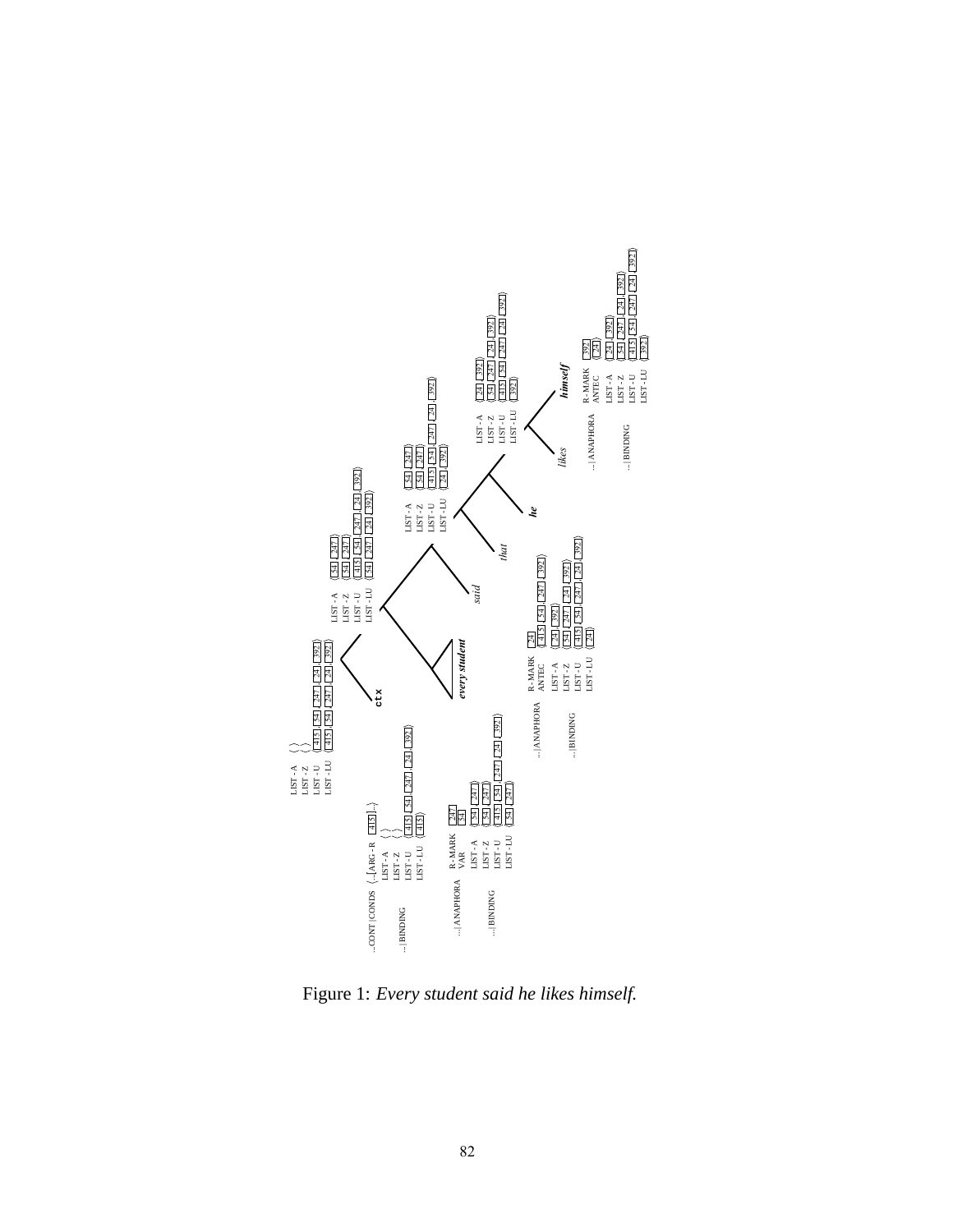

Figure 1: *Every student said he likes himself.*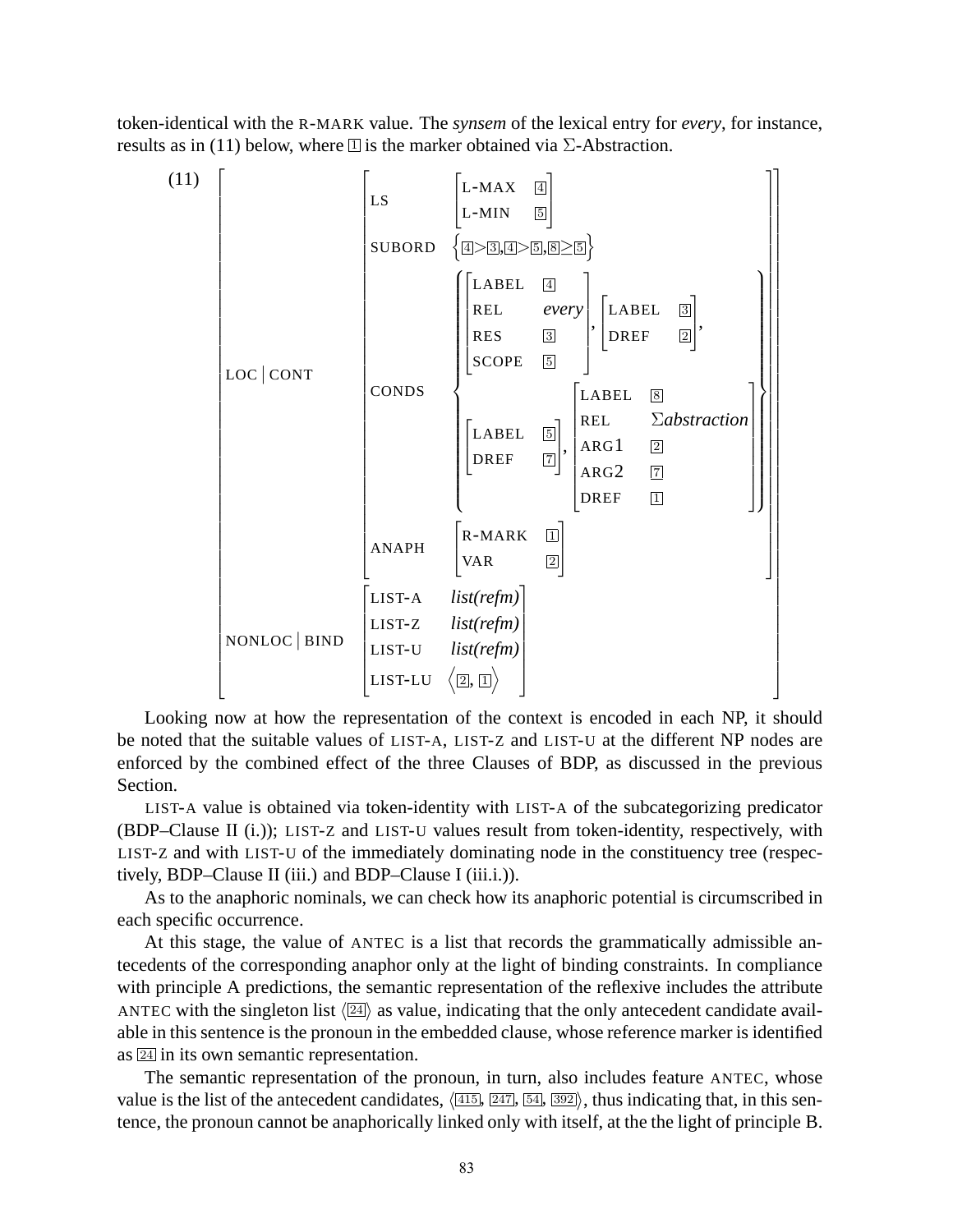token-identical with the R-MARK value. The *synsem* of the lexical entry for *every*, for instance, results as in (11) below, where  $\mathbb{I}$  is the marker obtained via  $\Sigma$ -Abstraction.



Looking now at how the representation of the context is encoded in each NP, it should be noted that the suitable values of LIST-A, LIST-Z and LIST-U at the different NP nodes are enforced by the combined effect of the three Clauses of BDP, as discussed in the previous Section.

LIST-A value is obtained via token-identity with LIST-A of the subcategorizing predicator (BDP–Clause II (i.)); LIST-Z and LIST-U values result from token-identity, respectively, with LIST-Z and with LIST-U of the immediately dominating node in the constituency tree (respectively, BDP–Clause II (iii.) and BDP–Clause I (iii.i.)).

As to the anaphoric nominals, we can check how its anaphoric potential is circumscribed in each specific occurrence.

At this stage, the value of ANTEC is a list that records the grammatically admissible antecedents of the corresponding anaphor only at the light of binding constraints. In compliance with principle A predictions, the semantic representation of the reflexive includes the attribute ANTEC with the singleton list  $\langle 24 \rangle$  as value, indicating that the only antecedent candidate available in this sentence is the pronoun in the embedded clause, whose reference marker is identified as <sup>24</sup> in its own semantic representation.

The semantic representation of the pronoun, in turn, also includes feature ANTEC, whose value is the list of the antecedent candidates,  $\langle 415, 247, 54, 392 \rangle$ , thus indicating that, in this sentence, the pronoun cannot be anaphorically linked only with itself, at the the light of principle B.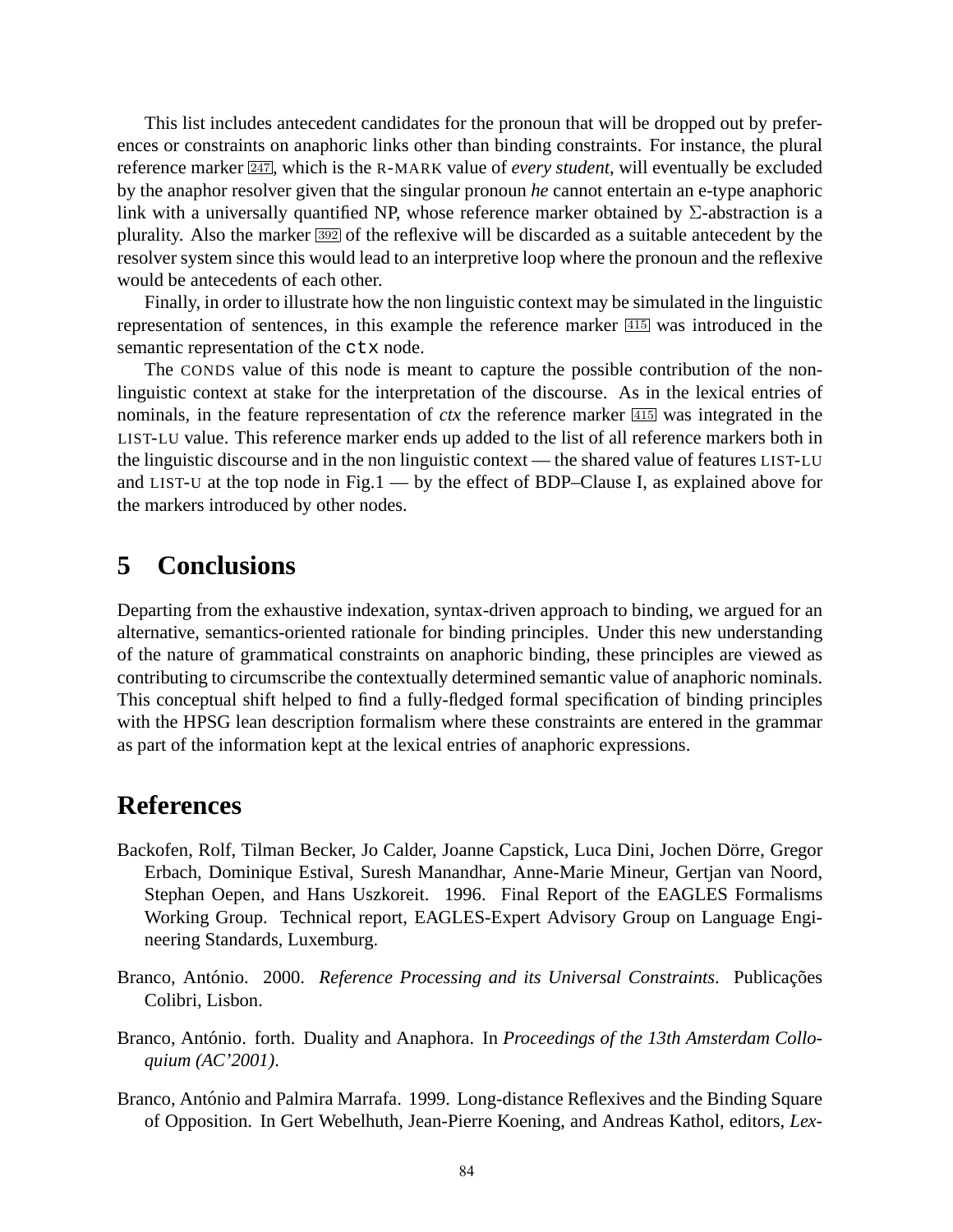This list includes antecedent candidates for the pronoun that will be dropped out by preferences or constraints on anaphoric links other than binding constraints. For instance, the plural reference marker **247**, which is the R-MARK value of *every student*, will eventually be excluded by the anaphor resolver given that the singular pronoun *he* cannot entertain an e-type anaphoric link with a universally quantified NP, whose reference marker obtained by  $\Sigma$ -abstraction is a plurality. Also the marker <sup>392</sup> of the reflexive will be discarded as a suitable antecedent by the resolver system since this would lead to an interpretive loop where the pronoun and the reflexive would be antecedents of each other.

Finally, in order to illustrate how the non linguistic context may be simulated in the linguistic representation of sentences, in this example the reference marker <sup>415</sup> was introduced in the semantic representation of the ctx node.

The CONDS value of this node is meant to capture the possible contribution of the nonlinguistic context at stake for the interpretation of the discourse. As in the lexical entries of nominals, in the feature representation of *ctx* the reference marker <sup>415</sup> was integrated in the LIST-LU value. This reference marker ends up added to the list of all reference markers both in the linguistic discourse and in the non linguistic context — the shared value of features LIST-LU and LIST-U at the top node in Fig.1 — by the effect of BDP–Clause I, as explained above for the markers introduced by other nodes.

# **5 Conclusions**

Departing from the exhaustive indexation, syntax-driven approach to binding, we argued for an alternative, semantics-oriented rationale for binding principles. Under this new understanding of the nature of grammatical constraints on anaphoric binding, these principles are viewed as contributing to circumscribe the contextually determined semantic value of anaphoric nominals. This conceptual shift helped to find a fully-fledged formal specification of binding principles with the HPSG lean description formalism where these constraints are entered in the grammar as part of the information kept at the lexical entries of anaphoric expressions.

# **References**

- Backofen, Rolf, Tilman Becker, Jo Calder, Joanne Capstick, Luca Dini, Jochen Dörre, Gregor Erbach, Dominique Estival, Suresh Manandhar, Anne-Marie Mineur, Gertjan van Noord, Stephan Oepen, and Hans Uszkoreit. 1996. Final Report of the EAGLES Formalisms Working Group. Technical report, EAGLES-Expert Advisory Group on Language Engineering Standards, Luxemburg.
- Branco, António. 2000. *Reference Processing and its Universal Constraints*. Publicações Colibri, Lisbon.
- Branco, António. forth. Duality and Anaphora. In *Proceedings of the 13th Amsterdam Colloquium (AC'2001)*.
- Branco, António and Palmira Marrafa. 1999. Long-distance Reflexives and the Binding Square of Opposition. In Gert Webelhuth, Jean-Pierre Koening, and Andreas Kathol, editors, *Lex-*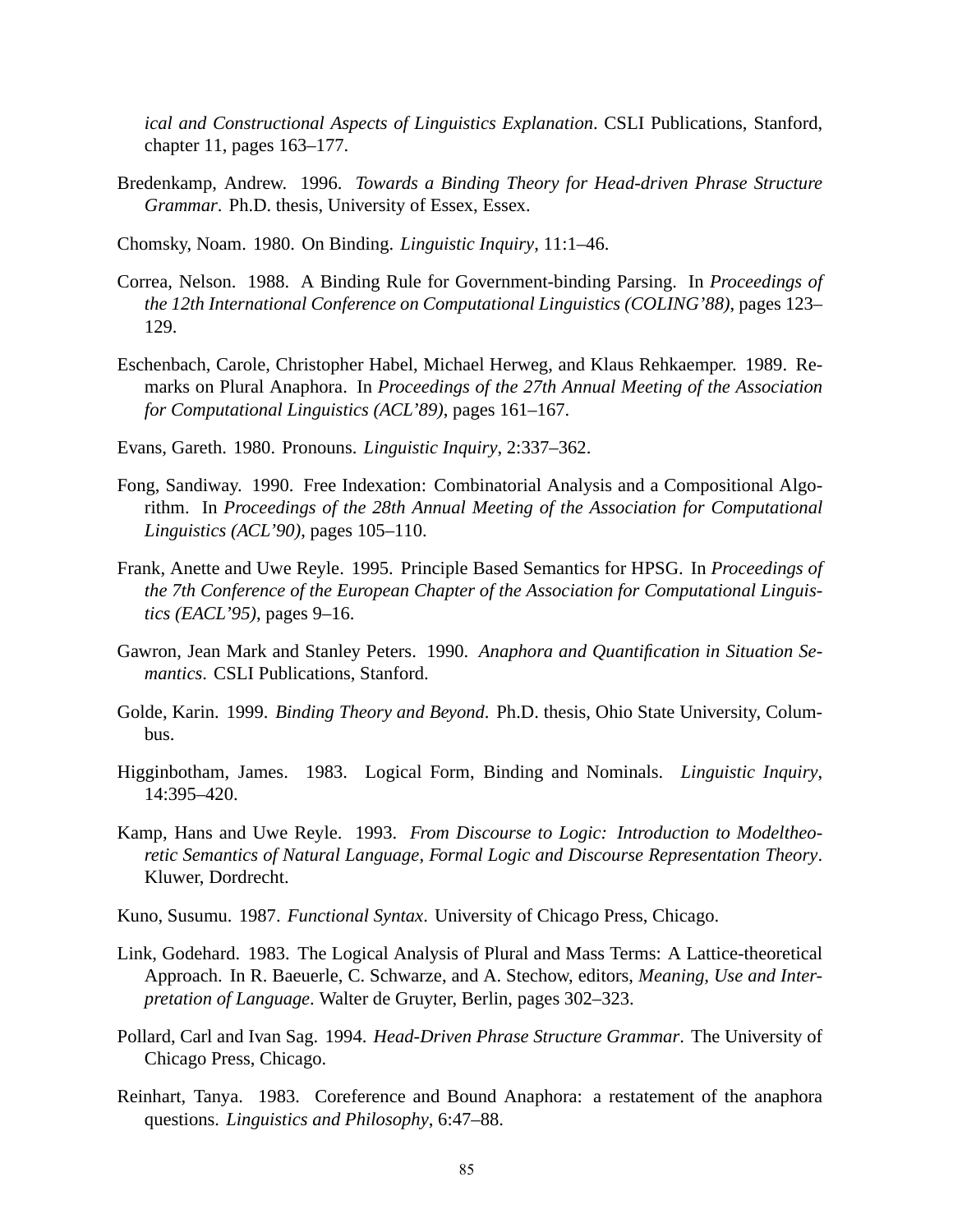*ical and Constructional Aspects of Linguistics Explanation*. CSLI Publications, Stanford, chapter 11, pages 163–177.

Bredenkamp, Andrew. 1996. *Towards a Binding Theory for Head-driven Phrase Structure Grammar*. Ph.D. thesis, University of Essex, Essex.

Chomsky, Noam. 1980. On Binding. *Linguistic Inquiry*, 11:1–46.

- Correa, Nelson. 1988. A Binding Rule for Government-binding Parsing. In *Proceedings of the 12th International Conference on Computational Linguistics (COLING'88)*, pages 123– 129.
- Eschenbach, Carole, Christopher Habel, Michael Herweg, and Klaus Rehkaemper. 1989. Remarks on Plural Anaphora. In *Proceedings of the 27th Annual Meeting of the Association for Computational Linguistics (ACL'89)*, pages 161–167.
- Evans, Gareth. 1980. Pronouns. *Linguistic Inquiry*, 2:337–362.
- Fong, Sandiway. 1990. Free Indexation: Combinatorial Analysis and a Compositional Algorithm. In *Proceedings of the 28th Annual Meeting of the Association for Computational Linguistics (ACL'90)*, pages 105–110.
- Frank, Anette and Uwe Reyle. 1995. Principle Based Semantics for HPSG. In *Proceedings of the 7th Conference of the European Chapter of the Association for Computational Linguistics (EACL'95)*, pages 9–16.
- Gawron, Jean Mark and Stanley Peters. 1990. *Anaphora and Quantification in Situation Semantics*. CSLI Publications, Stanford.
- Golde, Karin. 1999. *Binding Theory and Beyond*. Ph.D. thesis, Ohio State University, Columbus.
- Higginbotham, James. 1983. Logical Form, Binding and Nominals. *Linguistic Inquiry*, 14:395–420.
- Kamp, Hans and Uwe Reyle. 1993. *From Discourse to Logic: Introduction to Modeltheoretic Semantics of Natural Language, Formal Logic and Discourse Representation Theory*. Kluwer, Dordrecht.
- Kuno, Susumu. 1987. *Functional Syntax*. University of Chicago Press, Chicago.
- Link, Godehard. 1983. The Logical Analysis of Plural and Mass Terms: A Lattice-theoretical Approach. In R. Baeuerle, C. Schwarze, and A. Stechow, editors, *Meaning, Use and Interpretation of Language*. Walter de Gruyter, Berlin, pages 302–323.
- Pollard, Carl and Ivan Sag. 1994. *Head-Driven Phrase Structure Grammar*. The University of Chicago Press, Chicago.
- Reinhart, Tanya. 1983. Coreference and Bound Anaphora: a restatement of the anaphora questions. *Linguistics and Philosophy*, 6:47–88.